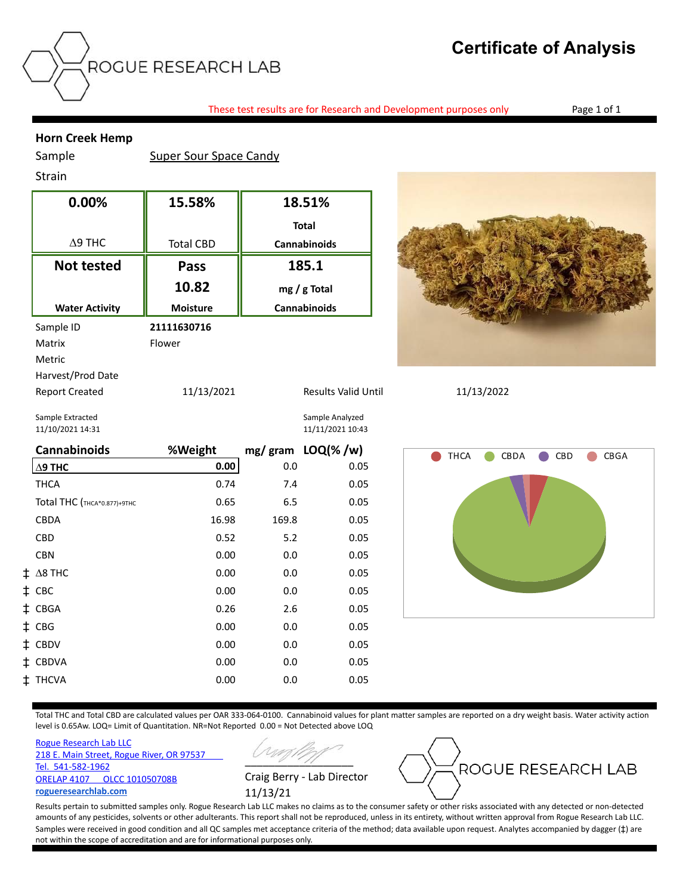## **Certificate of Analysis**

These test results are for Research and Development purposes only Page 1 of 1

## **Horn Creek Hemp**

Sample Super Sour Space Candy

## Strain

| 0.00%                 | 15.58%           | 18.51%              |  |
|-----------------------|------------------|---------------------|--|
|                       |                  | <b>Total</b>        |  |
| $\Delta$ 9 THC        | <b>Total CBD</b> | <b>Cannabinoids</b> |  |
| <b>Not tested</b>     | Pass             | 185.1               |  |
|                       | 10.82            | $mg/g$ Total        |  |
| <b>Water Activity</b> | <b>Moisture</b>  | <b>Cannabinoids</b> |  |
| Sample ID             | 21111630716      |                     |  |
| Matrix                | Flower           |                     |  |
| Metric                |                  |                     |  |
| Harvest/Prod Date     |                  |                     |  |
| <b>Report Created</b> | 11/13/2021       | Results Valid U     |  |
| Sample Extracted      |                  | Sample Analyzed     |  |



Report Created 11/13/2021 Results Valid Until 11/13/2022

11/10/2021 14:31 11/11/2021 10:43

| <b>Cannabinoids</b>         | %Weight |       | mg/gram LOQ(%/w) |
|-----------------------------|---------|-------|------------------|
| $\Delta$ 9 THC              | 0.00    | 0.0   | 0.05             |
| <b>THCA</b>                 | 0.74    | 7.4   | 0.05             |
| Total THC (THCA*0.877)+9THC | 0.65    | 6.5   | 0.05             |
| <b>CBDA</b>                 | 16.98   | 169.8 | 0.05             |
| <b>CBD</b>                  | 0.52    | 5.2   | 0.05             |
| <b>CBN</b>                  | 0.00    | 0.0   | 0.05             |
| $\ddagger$ A8 THC           | 0.00    | 0.0   | 0.05             |
| ‡ CBC                       | 0.00    | 0.0   | 0.05             |
| ‡ CBGA                      | 0.26    | 2.6   | 0.05             |
| $\ddagger$ CBG              | 0.00    | 0.0   | 0.05             |
| ‡ CBDV                      | 0.00    | 0.0   | 0.05             |
| ‡ CBDVA                     | 0.00    | 0.0   | 0.05             |
| ‡ THCVA                     | 0.00    | 0.0   | 0.05             |



Total THC and Total CBD are calculated values per OAR 333-064-0100. Cannabinoid values for plant matter samples are reported on a dry weight basis. Water activity action level is 0.65Aw. LOQ= Limit of Quantitation. NR=Not Reported 0.00 = Not Detected above LOQ

[Rogue Research Lab LLC](http://rogueresearchlab.com/) [218 E. Main Street, Rogue River, OR 97537](http://rogueresearchlab.com/)  [Tel. 541-582-1962](http://rogueresearchlab.com/) [ORELAP 4107 OLCC 101050708B](http://rogueresearchlab.com/) **[rogueresearchlab.com](http://rogueresearchlab.com/)**





Results pertain to submitted samples only. Rogue Research Lab LLC makes no claims as to the consumer safety or other risks associated with any detected or non-detected amounts of any pesticides, solvents or other adulterants. This report shall not be reproduced, unless in its entirety, without written approval from Rogue Research Lab LLC. Samples were received in good condition and all QC samples met acceptance criteria of the method; data available upon request. Analytes accompanied by dagger ( $\ddagger$ ) are not within the scope of accreditation and are for informational purposes only.